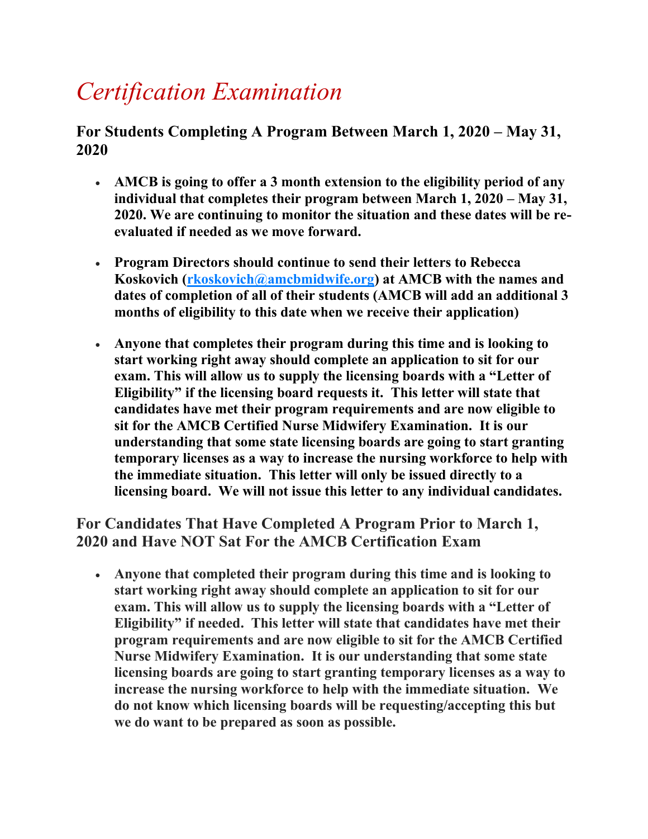## *Certification Examination*

For Students Completing A Program Between March 1, 2020 – May 31, **2020**

- **AMCB is going to offer a 3 month extension to the eligibility period of any individual that completes their program between March 1, 2020 – May 31, 2020. We are continuing to monitor the situation and these dates will be reevaluated if needed as we move forward.**
- **Program Directors should continue to send their letters to Rebecca Koskovich [\(rkoskovich@amcbmidwife.org\)](mailto:rkoskovich@amcbmidwife.org) at AMCB with the names and dates of completion of all of their students (AMCB will add an additional 3 months of eligibility to this date when we receive their application)**
- **Anyone that completes their program during this time and is looking to start working right away should complete an application to sit for our exam. This will allow us to supply the licensing boards with a "Letter of Eligibility" if the licensing board requests it. This letter will state that candidates have met their program requirements and are now eligible to sit for the AMCB Certified Nurse Midwifery Examination. It is our understanding that some state licensing boards are going to start granting temporary licenses as a way to increase the nursing workforce to help with the immediate situation. This letter will only be issued directly to a licensing board. We will not issue this letter to any individual candidates.**

**For Candidates That Have Completed A Program Prior to March 1, 2020 and Have NOT Sat For the AMCB Certification Exam**

 **Anyone that completed their program during this time and is looking to start working right away should complete an application to sit for our exam. This will allow us to supply the licensing boards with a "Letter of Eligibility" if needed. This letter will state that candidates have met their program requirements and are now eligible to sit for the AMCB Certified Nurse Midwifery Examination. It is our understanding that some state licensing boards are going to start granting temporary licenses as a way to increase the nursing workforce to help with the immediate situation. We do not know which licensing boards will be requesting/accepting this but we do want to be prepared as soon as possible.**